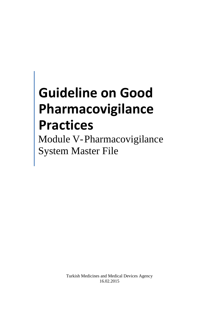# **Guideline on Good Pharmacovigilance Practices**

Module V-Pharmacovigilance System Master File

> Turkish Medicines and Medical Devices Agency 16.02.2015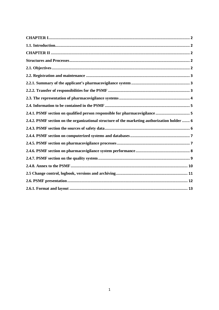| 2.4.1. PSMF section on qualified person responsible for pharmacovigilance  5                 |
|----------------------------------------------------------------------------------------------|
| 2.4.2. PSMF section on the organizational structure of the marketing authorization holder  6 |
|                                                                                              |
|                                                                                              |
|                                                                                              |
|                                                                                              |
|                                                                                              |
|                                                                                              |
|                                                                                              |
|                                                                                              |
|                                                                                              |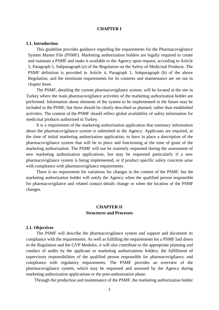### **CHAPTER I**

#### <span id="page-2-1"></span><span id="page-2-0"></span>**1.1. Introduction**

This guideline provides guidance regarding the requirements for the Pharmacovigilance System Master File (PSMF). Marketing authorization holders are legally required to create and maintain a PSMF and make it available to the Agency upon request, according to Article 5, Paragraph 5, Subparagraph (e) of the Regulation on the Safety of Medicinal Products. The PSMF definition is provided in Article 4, Paragraph 1, Subparagraph (h) of the above Regulation, and the minimum requirements for its contents and maintenance are set out in chapter three.

The PSMF, detailing the current pharmacovigilance system, will be located at the site in Turkey where the main pharmacovigilance activities of the marketing authorization holder are performed. Information about elements of the system to be implemented in the future may be included in the PSMF, but these should be clearly described as planned, rather than established activities. The content of the PSMF should reflect global availability of safety information for medicinal products authorized in Turkey.

It is a requirement of the marketing authorization application that summary information about the pharmacovigilance system is submitted to the Agency. Applicants are required, at the time of initial marketing authorization application, to have in place a description of the pharmacovigilance system that will be in place and functioning at the time of grant of the marketing authorization. The PSMF will not be routinely requested during the assessment of new marketing authorization applications, but may be requested particularly if a new pharmacovigilance system is being implemented, or if product specific safety concerns arise with compliance with pharmacovigilance requirements.

There is no requirement for variations for changes in the content of the PSMF, but the marketing authorization holder will notify the Agency when the qualified person responsible for pharmacovigilance and related contact details change or when the location of the PSMF changes.

## **CHAPTER II Structures and Processes**

## <span id="page-2-4"></span><span id="page-2-3"></span><span id="page-2-2"></span>**2.1. Objectives**

The PSMF will describe the pharmacovigilance system and support and document its compliance with the requirements. As well as fulfilling the requirements for a PSMF laid down in the Regulation and the GVP Modules, it will also contribute to the appropriate planning and conduct of audits by the applicant or marketing authorizations holders, the fulfillment of supervisory responsibilities of the qualified person responsible for pharmacovigilance, and compliance with regulatory requirements. The PSMF provides an overview of the pharmacovigilance system, which may be requested and assessed by the Agency during marketing authorization applications or the post-authorization phase.

Through the production and maintenance of the PSMF, the marketing authorization holder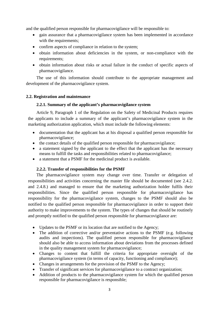and the qualified person responsible for pharmacovigilance will be responsible to:

- gain assurance that a pharmacovigilance system has been implemented in accordance with the requirements;
- confirm aspects of compliance in relation to the system;
- obtain information about deficiencies in the system, or non-compliance with the requirements;
- obtain information about risks or actual failure in the conduct of specific aspects of pharmacovigilance.

The use of this information should contribute to the appropriate management and development of the pharmacovigilance system.

## <span id="page-3-1"></span><span id="page-3-0"></span>**2.2. Registration and maintenance**

## **2.2.1. Summary of the applicant's pharmacovigilance system**

Article 9, Paragraph 1 of the Regulation on the Safety of Medicinal Products requires the applicants to include a summary of the applicant's pharmacovigilance system in the marketing authorization application, which must include the following elements:

- documentation that the applicant has at his disposal a qualified person responsible for pharmacovigilance;
- the contact details of the qualified person responsible for pharmacovigilance;
- a statement signed by the applicant to the effect that the applicant has the necessary means to fulfill the tasks and responsibilities related to pharmacovigilance;
- a statement that a PSMF for the medicinal product is available.

## **2.2.2. Transfer of responsibilities for the PSMF**

<span id="page-3-2"></span>The pharmacovigilance system may change over time. Transfer or delegation of responsibilities and activities concerning the master file should be documented (see 2.4.2. and 2.4.8.) and managed to ensure that the marketing authorization holder fulfils their responsibilities. Since the qualified person responsible for pharmacovigilance has responsibility for the pharmacovigilance system, changes to the PSMF should also be notified to the qualified person responsible for pharmacovigilance in order to support their authority to make improvements to the system. The types of changes that should be routinely and promptly notified to the qualified person responsible for pharmacovigilance are:

- Updates to the PSMF or its location that are notified to the Agency;
- The addition of corrective and/or preventative actions to the PSMF (e.g. following audits and inspections). The qualified person responsible for pharmacovigilance should also be able to access information about deviations from the processes defined in the quality management system for pharmacovigilance;
- Changes to content that fulfill the criteria for appropriate oversight of the pharmacovigilance system (in terms of capacity, functioning and compliance);
- Changes in arrangements for the provision of the PSMF to the Agency:
- Transfer of significant services for pharmacovigilance to a contract organization;
- Addition of products to the pharmacovigilance system for which the qualified person responsible for pharmacovigilance is responsible;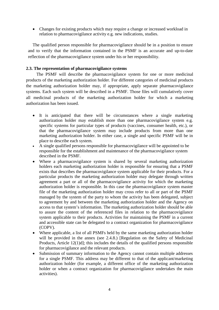• Changes for existing products which may require a change or increased workload in relation to pharmacovigilance activity e.g. new indications, studies.

The qualified person responsible for pharmacovigilance should be in a position to ensure and to verify that the information contained in the PSMF is an accurate and up-to-date reflection of the pharmacovigilance system under his or her responsibility.

# <span id="page-4-0"></span>**2.3. The representation of pharmacovigilance systems**

The PSMF will describe the pharmacovigilance system for one or more medicinal products of the marketing authorization holder. For different categories of medicinal products the marketing authorization holder may, if appropriate, apply separate pharmacovigilance systems. Each such system will be described in a PSMF. Those files will cumulatively cover all medicinal products of the marketing authorization holder for which a marketing authorization has been issued.

- It is anticipated that there will be circumstances where a single marketing authorization holder may establish more than one pharmacovigilance system e.g. specific systems for particular types of products (vaccines, consumer health, etc.), or that the pharmacovigilance system may include products from more than one marketing authorization holder. In either case, a single and specific PSMF will be in place to describe each system.
- A single qualified persons responsible for pharmacovigilance will be appointed to be responsible for the establishment and maintenance of the pharmacovigilance system described in the PSMF.
- Where a pharmacovigilance system is shared by several marketing authorization holders each marketing authorization holder is responsible for ensuring that a PSMF exists that describes the pharmacovigilance system applicable for their products. For a particular products the marketing authorization holder may delegate through written agreement a part or all of the pharmacovigilance activity for which the marketing authorization holder is responsible. In this case the pharmacovigilance system master file of the marketing authorization holder may cross refer to all or part of the PSMF managed by the system of the party to whom the activity has been delegated, subject to agreement by and between the marketing authorization holder and the Agency on access to that system's information. The marketing authorization holder should be able to assure the content of the referenced files in relation to the pharmacovigilance system applicable to their products. Activities for maintaining the PSMF in a current and accessible state can be delegated to a contract organization for pharmacovigilance (COPV).
- Where applicable, a list of all PSMFs held by the same marketing authorization holder will be provided in the annex (see 2.4.8.) [Regulation on the Safety of Medicinal Products, Article 12(1)d]; this includes the details of the qualified persons responsible for pharmacovigilance and the relevant products.
- Submission of summary information to the Agency cannot contain multiple addresses for a single PSMF. This address may be different to that of the applicant/marketing authorization holder (for example, a different office of the marketing authorization holder or when a contract organization for pharmacovigilance undertakes the main activities).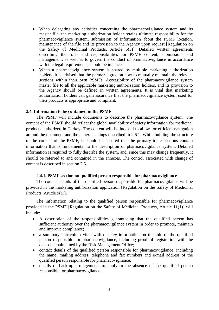- When delegating any activities concerning the pharmacovigilance system and its master file, the marketing authorization holder retains ultimate responsibility for the pharmacovigilance system, submission of information about the PSMF location, maintenance of the file and its provision to the Agency upon request [Regulation on the Safety of Medicinal Products, Article 5(5)]. Detailed written agreements describing the roles and responsibilities for PSMF content, submissions and management, as well as to govern the conduct of pharmacovigilance in accordance with the legal requirements, should be in place.
- When a pharmacovigilance system is shared by multiple marketing authorization holders, it is advised that the partners agree on how to mutually maintain the relevant sections within their own PSMFs. Accessibility of the pharmacovigilance system master file to all the applicable marketing authorization holders, and its provision to the Agency should be defined in written agreements. It is vital that marketing authorization holders can gain assurance that the pharmacovigilance system used for their products is appropriate and compliant.

## <span id="page-5-0"></span>**2.4. Information to be contained in the PSMF**

The PSMF will include documents to describe the pharmacovigilance system. The content of the PSMF should reflect the global availability of safety information for medicinal products authorized in Turkey. The content will be indexed to allow for efficient navigation around the document and the annex headings described in 2.6.1. While building the structure of the content of the PSMF, it should be ensured that the primary topic sections contain information that is fundamental to the description of pharmacovigilance system. Detailed information is required to fully describe the system, and, since this may change frequently, it should be referred to and contained in the annexes. The control associated with change of content is described in section 2.5.

#### **2.4.1. PSMF section on qualified person responsible for pharmacovigilance**

<span id="page-5-1"></span>The contact details of the qualified person responsible for pharmacovigilance will be provided in the marketing authorization application [Regulation on the Safety of Medicinal Products, Article 9(1)].

The information relating to the qualified person responsible for pharmacovigilance provided in the PSMF [Regulation on the Safety of Medicinal Products, Article 11(1)] will include:

- A description of the responsibilities guaranteeing that the qualified person has sufficient authority over the pharmacovigilance system in order to promote, maintain and improve compliance;
- a summary curriculum vitae with the key information on the role of the qualified person responsible for pharmacovigilance, including proof of registration with the database maintained by the Risk Management Office;
- contact details of the qualified person responsible for pharmacovigilance, including the name, mailing address, telephone and fax numbers and e-mail address of the qualified person responsible for pharmacovigilance;
- details of back-up arrangements to apply in the absence of the qualified person responsible for pharmacovigilance.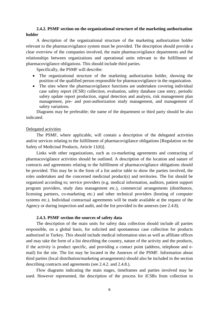# <span id="page-6-0"></span>**2.4.2. PSMF section on the organizational structure of the marketing authorization holder**

A description of the organizational structure of the marketing authorization holder relevant to the pharmacovigilance system must be provided. The description should provide a clear overview of the companies involved, the main pharmacovigilance departments and the relationships between organizations and operational units relevant to the fulfillment of pharmacovigilance obligations. This should include third parties.

Specifically, the PSMF will describe:

- The organizational structure of the marketing authorization holder, showing the position of the qualified person responsible for pharmacovigilance in the organization.
- The sites where the pharmacovigilance functions are undertaken covering individual case safety report (ICSR) collection, evaluation, safety database case entry, periodic safety update report production, signal detection and analysis, risk management plan management, pre- and post-authorization study management, and management of safety variations.

Diagrams may be preferable; the name of the department or third party should be also indicated.

## Delegated activities

The PSMF, where applicable, will contain a description of the delegated activities and/or services relating to the fulfillment of pharmacovigilance obligations [Regulation on the Safety of Medicinal Products, Article 11(6)].

Links with other organizations, such as co-marketing agreements and contracting of pharmacovigilance activities should be outlined. A description of the location and nature of contracts and agreements relating to the fulfillment of pharmacovigilance obligations should be provided. This may be in the form of a list and/or table to show the parties involved, the roles undertaken and the concerned medicinal product(s) and territories. The list should be organized according to; service providers (e.g. medical information, auditors, patient support program providers, study data management etc.), commercial arrangements (distributors, licensing partners, co-marketing etc.) and other technical providers (hosting of computer systems etc.). Individual contractual agreements will be made available at the request of the Agency or during inspection and audit, and the list provided in the annexes (see 2.4.8).

## **2.4.3. PSMF section the sources of safety data**

<span id="page-6-1"></span>The description of the main units for safety data collection should include all parties responsible, on a global basis, for solicited and spontaneous case collection for products authorized in Turkey. This should include medical information sites as well as affiliate offices and may take the form of a list describing the country, nature of the activity and the products, if the activity is product specific, and providing a contact point (address, telephone and email) for the site. The list may be located in the Annexes of the PSMF. Information about third parties (local distribution/marketing arrangements) should also be included in the section describing contracts and agreements (see 2.4.2. and 2.4.8.).

Flow diagrams indicating the main stages, timeframes and parties involved may be used. However represented, the description of the process for ICSRs from collection to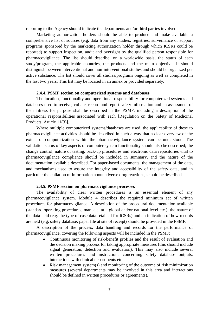reporting to the Agency should indicate the departments and/or third parties involved.

Marketing authorization holders should be able to produce and make available a comprehensive list of sources (e.g. data from any studies, registries, surveillance or support programs sponsored by the marketing authorization holder through which ICSRs could be reported) to support inspection, audit and oversight by the qualified person responsible for pharmacovigilance. The list should describe, on a worldwide basis, the status of each study/program, the applicable countries, the products and the main objective. It should distinguish between interventional and non-interventional studies and should be organized per active substance. The list should cover all studies/programs ongoing as well as completed in the last two years. This list may be located in an annex or provided separately.

#### **2.4.4. PSMF section on computerized systems and databases**

<span id="page-7-0"></span>The location, functionality and operational responsibility for computerized systems and databases used to receive, collate, record and report safety information and an assessment of their fitness for purpose shall be described in the PSMF, including a description of the operational responsibilities associated with each [Regulation on the Safety of Medicinal Products, Article 11(3)].

Where multiple computerized systems/databases are used, the applicability of these to pharmacovigilance activities should be described in such a way that a clear overview of the extent of computerization within the pharmacovigilance system can be understood. The validation status of key aspects of computer system functionality should also be described; the change control, nature of testing, back-up procedures and electronic data repositories vital to pharmacovigilance compliance should be included in summary, and the nature of the documentation available described. For paper-based documents, the management of the data, and mechanisms used to assure the integrity and accessibility of the safety data, and in particular the collation of information about adverse drug reactions, should be described.

#### **2.4.5. PSMF section on pharmacovigilance processes**

<span id="page-7-1"></span>The availability of clear written procedures is an essential element of any pharmacovigilance system. Module 4 describes the required minimum set of written procedures for pharmacovigilance. A description of the procedural documentation available (standard operating procedures, manuals, at a global and/or national level etc.), the nature of the data held (e.g. the type of case data retained for ICSRs) and an indication of how records are held (e.g. safety database, paper file at site of receipt) should be provided in the PSMF.

A description of the process, data handling and records for the performance of pharmacovigilance, covering the following aspects will be included in the PSMF:

- Continuous monitoring of risk-benefit profiles and the result of evaluation and the decision making process for taking appropriate measures (this should include signal generation, detection and evaluation). This may also include several written procedures and instructions concerning safety database outputs, interactions with clinical departments etc.
- Risk management system(s) and monitoring of the outcome of risk minimization measures (several departments may be involved in this area and interactions should be defined in written procedures or agreements).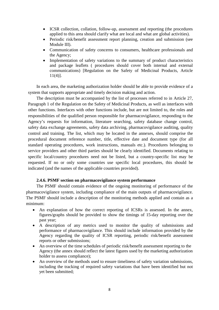- ICSR collection, collation, follow-up, assessment and reporting (the procedures applied to this area should clarify what are local and what are global activities).
- Periodic risk/benefit assessment report planning, creation and submission (see Module III).
- Communication of safety concerns to consumers, healthcare professionals and the Agency;
- Implementation of safety variations to the summary of product characteristics and package leaflets ( procedures should cover both internal and external communications) [Regulation on the Safety of Medicinal Products, Article 11(4)].

In each area, the marketing authorization holder should be able to provide evidence of a system that supports appropriate and timely decision making and action.

The description must be accompanied by the list of processes referred to in Article 27, Paragraph 1 of the Regulation on the Safety of Medicinal Products, as well as interfaces with other functions. Interfaces with other functions include, but are not limited to, the roles and responsibilities of the qualified person responsible for pharmacovigilance, responding to the Agency's requests for information, literature searching, safety database change control, safety data exchange agreements, safety data archiving, pharmacovigilance auditing, quality control and training. The list, which may be located in the annexes, should comprise the procedural document reference number, title, effective date and document type (for all standard operating procedures, work instructions, manuals etc.). Procedures belonging to service providers and other third parties should be clearly identified. Documents relating to specific local/country procedures need not be listed, but a country-specific list may be requested. If no or only some countries use specific local procedures, this should be indicated (and the names of the applicable countries provided).

## **2.4.6. PSMF section on pharmacovigilance system performance**

<span id="page-8-0"></span>The PSMF should contain evidence of the ongoing monitoring of performance of the pharmacovigilance system, including compliance of the main outputs of pharmacovigilance. The PSMF should include a description of the monitoring methods applied and contain as a minimum:

- An explanation of how the correct reporting of ICSRs is assessed. In the annex, figures/graphs should be provided to show the timings of 15-day reporting over the past year;
- A description of any metrics used to monitor the quality of submissions and performance of pharmacovigilance. This should include information provided by the Agency regarding the quality of ICSR reporting, periodic risk/benefit assessment reports or other submissions;
- An overview of the time schedules of periodic risk/benefit assessment reporting to the Agency (the annex should reflect the latest figures used by the marketing authorization holder to assess compliance);
- An overview of the methods used to ensure timeliness of safety variation submissions, including the tracking of required safety variations that have been identified but not yet been submitted;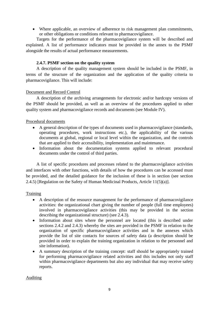• Where applicable, an overview of adherence to risk management plan commitments, or other obligations or conditions relevant to pharmacovigilance.

Targets for the performance of the pharmacovigilance system will be described and explained. A list of performance indicators must be provided in the annex to the PSMF alongside the results of actual performance measurements.

# **2.4.7. PSMF section on the quality system**

<span id="page-9-0"></span>A description of the quality management system should be included in the PSMF, in terms of the structure of the organization and the application of the quality criteria to pharmacovigilance. This will include:

## Document and Record Control

A description of the archiving arrangements for electronic and/or hardcopy versions of the PSMF should be provided, as well as an overview of the procedures applied to other quality system and pharmacovigilance records and documents (see Module IV).

## Procedural documents

- A general description of the types of documents used in pharmacovigilance (standards, operating procedures, work instructions etc.), the applicability of the various documents at global, regional or local level within the organization, and the controls that are applied to their accessibility, implementation and maintenance.
- Information about the documentation systems applied to relevant procedural documents under the control of third parties.

A list of specific procedures and processes related to the pharmacovigilance activities and interfaces with other functions, with details of how the procedures can be accessed must be provided, and the detailed guidance for the inclusion of these is in section (see section 2.4.5) [Regulation on the Safety of Human Medicinal Products, Article 11(5)(a)].

# **Training**

- A description of the resource management for the performance of pharmacovigilance activities: the organizational chart giving the number of people (full time employees) involved in pharmacovigilance activities (this may be provided in the section describing the organizational structure) (see 2.4.3).
- Information about sites where the personnel are located (this is described under sections 2.4.2 and 2.4.3) whereby the sites are provided in the PSMF in relation to the organization of specific pharmacovigilance activities and in the annexes which provide the list of site contacts for sources of safety data (a description should be provided in order to explain the training organization in relation to the personnel and site information).
- A summary description of the training concept: staff should be appropriately trained for performing pharmacovigilance related activities and this includes not only staff within pharmacovigilance departments but also any individual that may receive safety reports.

# Auditing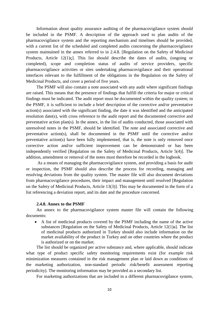Information about quality assurance auditing of the pharmacovigilance system should be included in the PSMF. A description of the approach used to plan audits of the pharmacovigilance system and the reporting mechanism and timelines should be provided, with a current list of the scheduled and completed audits concerning the pharmacovigilance system maintained in the annex referred to in 2.4.8. [Regulation on the Safety of Medicinal Products, Article 12(1)ç]. This list should describe the dates of audits, (ongoing or completed), scope and completion status of audits of service providers, specific pharmacovigilance activities or sites undertaking pharmacovigilance and their operational interfaces relevant to the fulfillment of the obligations in the Regulation on the Safety of Medicinal Products, and cover a period of five years.

The PSMF will also contain a note associated with any audit where significant findings are raised. This means that the presence of findings that fulfill the criteria for major or critical findings must be indicated. The audit report must be documented within the quality system; in the PSMF, it is sufficient to include a brief description of the corrective and/or preventative action(s) associated with the significant finding, the date it was identified and the anticipated resolution date(s), with cross reference to the audit report and the documented corrective and preventative action plan(s). In the annex, in the list of audits conducted, those associated with unresolved notes in the PSMF, should be identified. The note and associated corrective and preventative action(s), shall be documented in the PSMF until the corrective and/or preventative action(s) have been fully implemented, that is, the note is only removed once corrective action and/or sufficient improvement can be demonstrated or has been independently verified [Regulation on the Safety of Medicinal Products, Article 5(4)]. The addition, amendment or removal of the notes must therefore be recorded in the logbook.

As a means of managing the pharmacovigilance system, and providing a basis for audit or inspection, the PSMF should also describe the process for recording, managing and resolving deviations from the quality system. The master file will also document deviations from pharmacovigilance procedures, their impact and management until resolved [Regulation on the Safety of Medicinal Products, Article 13(3)]. This may be documented in the form of a list referencing a deviation report, and its date and the procedure concerned.

## **2.4.8. Annex to the PSMF**

<span id="page-10-0"></span>An annex to the pharmacovigilance system master file will contain the following documents:

• A list of medicinal products covered by the PSMF including the name of the active substances [Regulation on the Safety of Medicinal Products, Article 12(1)a]. The list of medicinal products authorized in Turkey should also include information on the market availability of the product in Turkey and on other countries where the product is authorized or on the market.

The list should be organized per active substance and, where applicable, should indicate what type of product specific safety monitoring requirements exist (for example risk minimization measures contained in the risk management plan or laid down as conditions of the marketing authorization, non-standard periodic risk/benefit assessment reporting periodicity). The monitoring information may be provided as a secondary list.

For marketing authorizations that are included in a different pharmacovigilance system,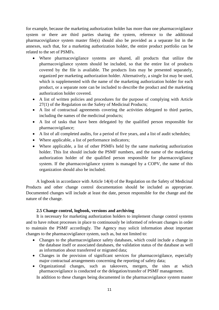for example, because the marketing authorization holder has more than one pharmacovigilance system or there are third parties sharing the system, reference to the additional pharmacovigilance system master file(s) should also be provided as a separate list in the annexes, such that, for a marketing authorization holder, the entire product portfolio can be related to the set of PSMFs.

- Where pharmacovigilance systems are shared, all products that utilize the pharmacovigilance system should be included, so that the entire list of products covered by the file is available. The products lists may be presented separately, organized per marketing authorization holder. Alternatively, a single list may be used, which is supplemented with the name of the marketing authorization holder for each product, or a separate note can be included to describe the product and the marketing authorization holder covered.
- A list of written policies and procedures for the purpose of complying with Article 27(1) of the Regulation on the Safety of Medicinal Products;
- A list of contractual agreements covering the activities delegated to third parties, including the names of the medicinal products;
- A list of tasks that have been delegated by the qualified person responsible for pharmacovigilance;
- A list of all completed audits, for a period of five years, and a list of audit schedules;
- Where applicable, a list of performance indicators;
- Where applicable, a list of other PSMFs held by the same marketing authorization holder. This list should include the PSMF numbers, and the name of the marketing authorization holder of the qualified person responsible for pharmacovigilance system. If the pharmacovigilance system is managed by a COPV, the name of this organization should also be included.

A logbook in accordance with Article 14(4) of the Regulation on the Safety of Medicinal Products and other change control documentation should be included as appropriate. Documented changes will include at least the date, person responsible for the change and the nature of the change.

# **2.5 Change control, logbook, versions and archiving**

<span id="page-11-0"></span>It is necessary for marketing authorization holders to implement change control systems and to have robust processes in place to continuously be informed of relevant changes in order to maintain the PSMF accordingly. The Agency may solicit information about important changes to the pharmacovigilance system, such as, but not limited to:

- Changes to the pharmacovigilance safety databases, which could include a change in the database itself or associated databases, the validation status of the database as well as information about transferred or migrated data;
- Changes in the provision of significant services for pharmacovigilance, especially major contractual arrangements concerning the reporting of safety data;
- Organizational changes, such as takeovers, mergers, the sites at which pharmacovigilance is conducted or the delegation/transfer of PSMF management.

In addition to these changes being documented in the pharmacovigilance system master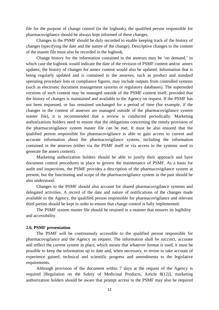file for the purpose of change control (in the logbook), the qualified person responsible for pharmacovigilance should be always kept informed of these changes.

Changes to the PSMF should be duly recorded to enable keeping track of the history of changes (specifying the date and the nature of the change). Descriptive changes to the content of the master file must also be recorded in the logbook.

Change history for the information contained in the annexes may be 'on demand,' in which case the logbook would indicate the date of the revision of PSMF content and/or annex updates; the history of changes for annex content would also be updated. Information that is being regularly updated and is contained in the annexes, such as product and standard operating procedure lists or compliance figures, may include outputs from controlled systems (such as electronic document management systems or regulatory databases). The superseded versions of such content may be managed outside of the PSMF content itself, provided that the history of changes is maintained and available to the Agency on request. If the PSMF has not been requested, or has remained unchanged for a period of time (for example, if the changes in the content of annexes are managed outside of the pharmacovigilance system master file), it is recommended that a review is conducted periodically. Marketing authorizations holders need to ensure that the obligations concerning the timely provision of the pharmacovigilance system master file can be met. It must be also ensured that the qualified person responsible for pharmacovigilance is able to gain access to current and accurate information about the pharmacovigilance system, including the information contained in the annexes (either via the PSMF itself or via access to the systems used to generate the annex content).

Marketing authorization holders should be able to justify their approach and have document control procedures in place to govern the maintenance of PSMF. As a basis for audit and inspections, the PSMF provides a description of the pharmacovigilance system at present, but the functioning and scope of the pharmacovigilance system in the past should be also understood.

Changes to the PSMF should also account for shared pharmacovigilance systems and delegated activities. A record of the date and nature of notifications of the changes made available to the Agency, the qualified person responsible for pharmacovigilance and relevant third parties should be kept in order to ensure that change control is fully implemented.

The PSMF system master file should be retained in a manner that ensures its legibility and accessibility.

### <span id="page-12-0"></span>**2.6. PSMF presentation**

The PSMF will be continuously accessible to the qualified person responsible for pharmacovigilance and the Agency on request. The information shall be succinct, accurate and reflect the current system in place, which means that whatever format is used, it must be possible to keep the information up to date and, when necessary, to revise to take account of experience gained, technical and scientific progress and amendments to the legislative requirements.

Although provision of the document within 7 days at the request of the Agency is required [Regulation on the Safety of Medicinal Products, Article 8(12)], marketing authorization holders should be aware that prompt access to the PSMF may also be required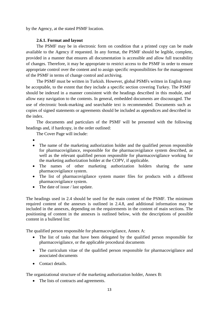by the Agency, at the stated PSMF location.

# **2.6.1. Format and layout**

<span id="page-13-0"></span>The PSMF may be in electronic form on condition that a printed copy can be made available to the Agency if requested. In any format, the PSMF should be legible, complete, provided in a manner that ensures all documentation is accessible and allow full traceability of changes. Therefore, it may be appropriate to restrict access to the PSMF in order to ensure appropriate control over the content and to assign specific responsibilities for the management of the PSMF in terms of change control and archiving.

The PSMF must be written in Turkish. However, global PSMFs written in English may be acceptable, to the extent that they include a specific section covering Turkey. The PSMF should be indexed in a manner consistent with the headings described in this module, and allow easy navigation to the contents. In general, embedded documents are discouraged. The use of electronic book-marking and searchable text is recommended. Documents such as copies of signed statements or agreements should be included as appendices and described in the index.

The documents and particulars of the PSMF will be presented with the following headings and, if hardcopy, in the order outlined:

The Cover Page will include:

- •
- The name of the marketing authorization holder and the qualified person responsible for pharmacovigilance, responsible for the pharmacovigilance system described, as well as the relevant qualified person responsible for pharmacovigilance working for the marketing authorization holder at the COPV, if applicable.
- The names of other marketing authorization holders sharing the same pharmacovigilance system.
- The list of pharmacovigilance system master files for products with a different pharmacovigilance system.
- The date of issue / last update.

The headings used in 2.4 should be used for the main content of the PSMF. The minimum required content of the annexes is outlined in 2.4.8, and additional information may be included in the annexes, depending on the requirements in the content of main sections. The positioning of content in the annexes is outlined below, with the descriptions of possible content in a bulleted list:

The qualified person responsible for pharmacovigilance, Annex A:

- The list of tasks that have been delegated by the qualified person responsible for pharmacovigilance, or the applicable procedural documents
- The curriculum vitae of the qualified person responsible for pharmacovigilance and associated documents
- Contact details.

The organizational structure of the marketing authorization holder, Annex B:

• The lists of contracts and agreements.